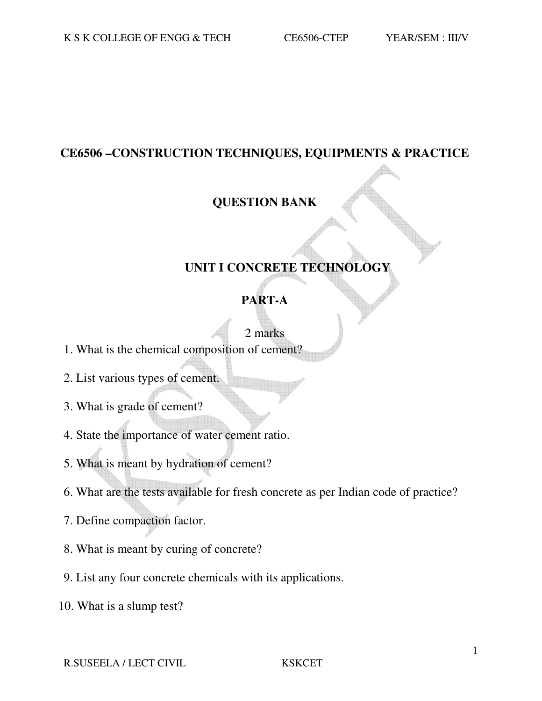#### **CE6506 –CONSTRUCTION TECHNIQUES, EQUIPMENTS & PRACTICE**

#### **QUESTION BANK**

### **UNIT I CONCRETE TECHNOLOGY**

#### **PART-A**

### 2 marks

- 1. What is the chemical composition of cement?
- 2. List various types of cement.
- 3. What is grade of cement?
- 4. State the importance of water cement ratio.
- 5. What is meant by hydration of cement?
- 6. What are the tests available for fresh concrete as per Indian code of practice?
- 7. Define compaction factor.
- 8. What is meant by curing of concrete?
- 9. List any four concrete chemicals with its applications.
- 10. What is a slump test?

#### R.SUSEELA / LECT CIVIL KSKCET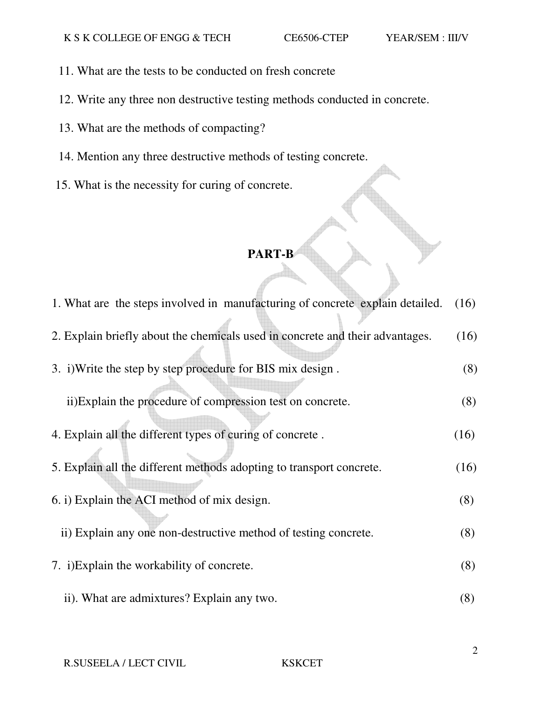- 11. What are the tests to be conducted on fresh concrete
- 12. Write any three non destructive testing methods conducted in concrete.
- 13. What are the methods of compacting?
- 14. Mention any three destructive methods of testing concrete.
- 15. What is the necessity for curing of concrete.

| 1. What are the steps involved in manufacturing of concrete explain detailed. | (16) |
|-------------------------------------------------------------------------------|------|
| 2. Explain briefly about the chemicals used in concrete and their advantages. | (16) |
| 3. i) Write the step by step procedure for BIS mix design.                    | (8)  |
| ii) Explain the procedure of compression test on concrete.                    | (8)  |
| 4. Explain all the different types of curing of concrete.                     | (16) |
| 5. Explain all the different methods adopting to transport concrete.          | (16) |
| 6. i) Explain the ACI method of mix design.                                   | (8)  |
| ii) Explain any one non-destructive method of testing concrete.               | (8)  |
| 7. i) Explain the workability of concrete.                                    | (8)  |
| ii). What are admixtures? Explain any two.                                    | (8)  |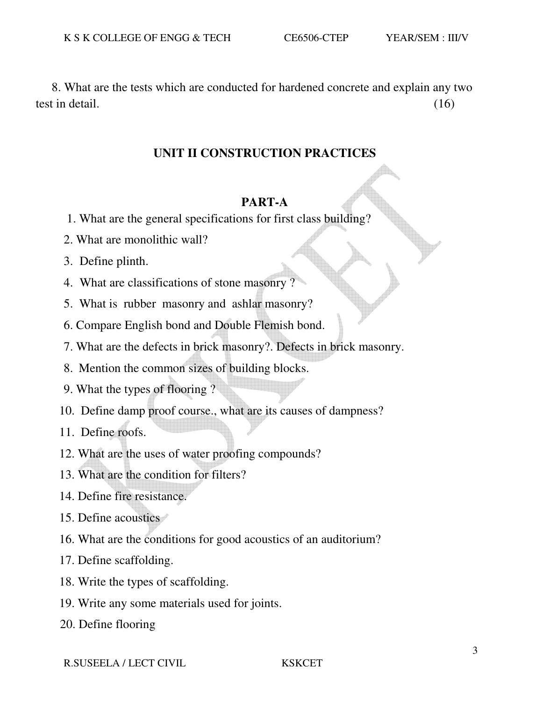8. What are the tests which are conducted for hardened concrete and explain any two test in detail. (16)

#### **UNIT II CONSTRUCTION PRACTICES**

#### **PART-A**

- 1. What are the general specifications for first class building?
- 2. What are monolithic wall?
- 3. Define plinth.
- 4. What are classifications of stone masonry ?
- 5. What is rubber masonry and ashlar masonry?
- 6. Compare English bond and Double Flemish bond.
- 7. What are the defects in brick masonry?. Defects in brick masonry.
- 8. Mention the common sizes of building blocks.
- 9. What the types of flooring ?
- 10. Define damp proof course., what are its causes of dampness?
- 11. Define roofs.
- 12. What are the uses of water proofing compounds?
- 13. What are the condition for filters?
- 14. Define fire resistance.
- 15. Define acoustics
- 16. What are the conditions for good acoustics of an auditorium?
- 17. Define scaffolding.
- 18. Write the types of scaffolding.
- 19. Write any some materials used for joints.
- 20. Define flooring

R.SUSEELA / LECT CIVIL KSKCET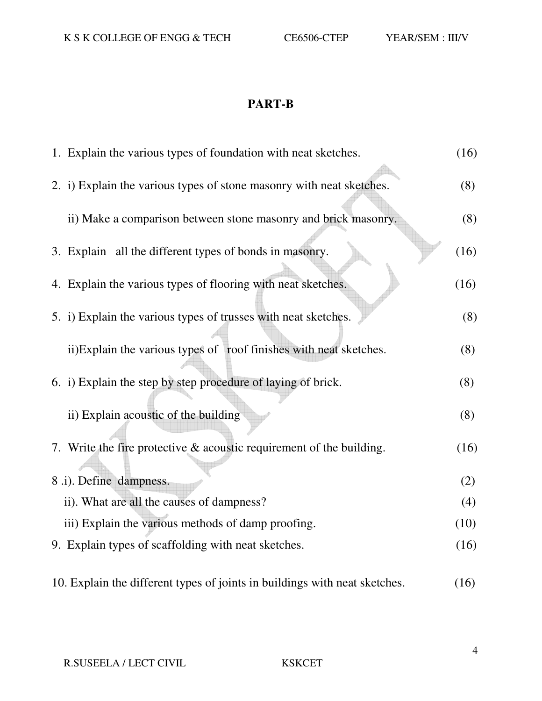| 1. Explain the various types of foundation with neat sketches.             | (16) |
|----------------------------------------------------------------------------|------|
| 2. i) Explain the various types of stone masonry with neat sketches.       | (8)  |
| ii) Make a comparison between stone masonry and brick masonry.             | (8)  |
| 3. Explain all the different types of bonds in masonry.                    | (16) |
| 4. Explain the various types of flooring with neat sketches.               | (16) |
| 5. i) Explain the various types of trusses with neat sketches.             | (8)  |
| ii)Explain the various types of roof finishes with neat sketches.          | (8)  |
| 6. i) Explain the step by step procedure of laying of brick.               | (8)  |
| ii) Explain acoustic of the building                                       | (8)  |
| 7. Write the fire protective $&$ acoustic requirement of the building.     | (16) |
| 8 .i). Define dampness.                                                    | (2)  |
| ii). What are all the causes of dampness?                                  | (4)  |
| iii) Explain the various methods of damp proofing.                         | (10) |
| 9. Explain types of scaffolding with neat sketches.                        | (16) |
| 10. Explain the different types of joints in buildings with neat sketches. | (16) |

4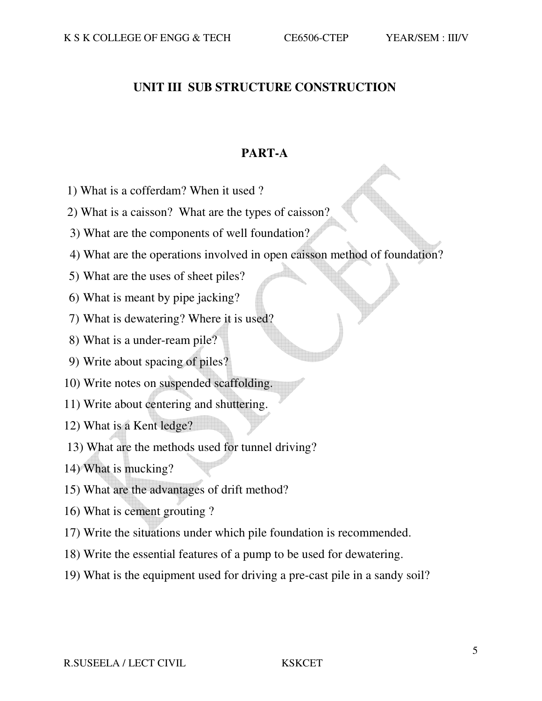#### **UNIT III SUB STRUCTURE CONSTRUCTION**

#### **PART-A**

- 1) What is a cofferdam? When it used ?
- 2) What is a caisson? What are the types of caisson?
- 3) What are the components of well foundation?
- 4) What are the operations involved in open caisson method of foundation?
- 5) What are the uses of sheet piles?
- 6) What is meant by pipe jacking?
- 7) What is dewatering? Where it is used?
- 8) What is a under-ream pile?
- 9) Write about spacing of piles?
- 10) Write notes on suspended scaffolding.
- 11) Write about centering and shuttering.
- 12) What is a Kent ledge?
- 13) What are the methods used for tunnel driving?
- 14) What is mucking?
- 15) What are the advantages of drift method?
- 16) What is cement grouting ?
- 17) Write the situations under which pile foundation is recommended.
- 18) Write the essential features of a pump to be used for dewatering.
- 19) What is the equipment used for driving a pre-cast pile in a sandy soil?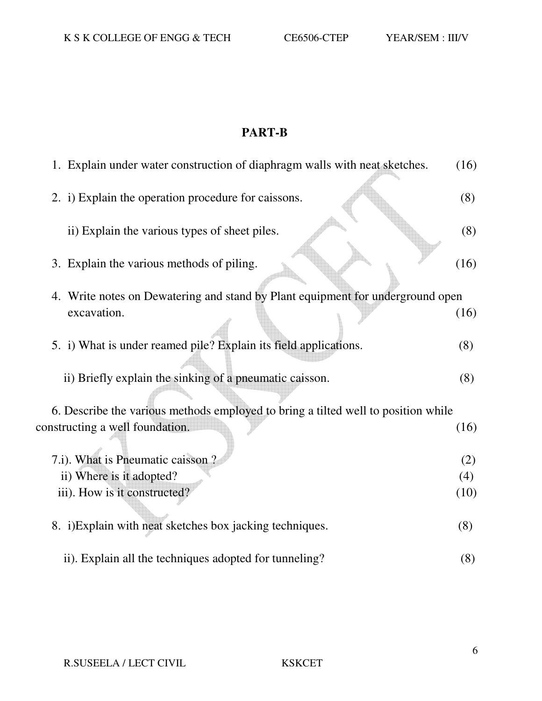| 1. Explain under water construction of diaphragm walls with neat sketches.        | (16) |
|-----------------------------------------------------------------------------------|------|
| 2. i) Explain the operation procedure for caissons.                               | (8)  |
| ii) Explain the various types of sheet piles.                                     | (8)  |
| 3. Explain the various methods of piling.                                         | (16) |
| 4. Write notes on Dewatering and stand by Plant equipment for underground open    |      |
| excavation.                                                                       | (16) |
| 5. i) What is under reamed pile? Explain its field applications.                  | (8)  |
| ii) Briefly explain the sinking of a pneumatic caisson.                           | (8)  |
| 6. Describe the various methods employed to bring a tilted well to position while |      |
| constructing a well foundation.                                                   | (16) |
| 7.i). What is Pneumatic caisson?                                                  | (2)  |
| ii) Where is it adopted?                                                          | (4)  |
| iii). How is it constructed?                                                      | (10) |
| 8. i) Explain with neat sketches box jacking techniques.                          | (8)  |
| ii). Explain all the techniques adopted for tunneling?                            | (8)  |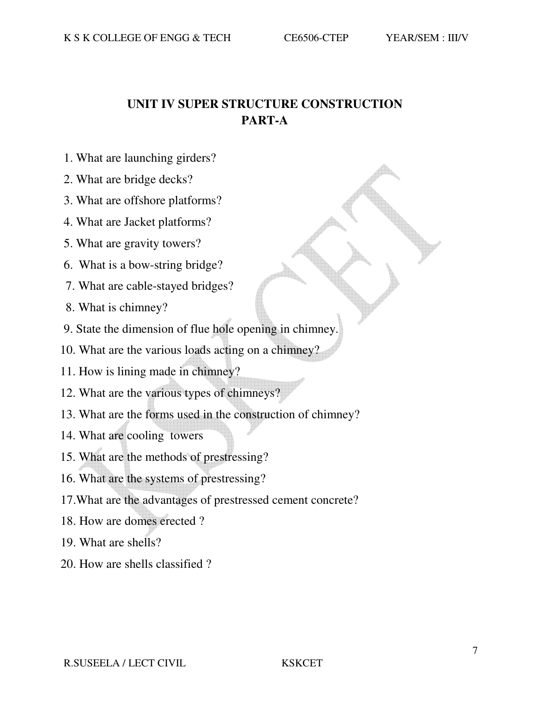## **UNIT IV SUPER STRUCTURE CONSTRUCTION PART-A**

- 1. What are launching girders?
- 2. What are bridge decks?
- 3. What are offshore platforms?
- 4. What are Jacket platforms?
- 5. What are gravity towers?
- 6. What is a bow-string bridge?
- 7. What are cable-stayed bridges?
- 8. What is chimney?
- 9. State the dimension of flue hole opening in chimney.
- 10. What are the various loads acting on a chimney?
- 11. How is lining made in chimney?
- 12. What are the various types of chimneys?
- 13. What are the forms used in the construction of chimney?
- 14. What are cooling towers
- 15. What are the methods of prestressing?
- 16. What are the systems of prestressing?
- 17.What are the advantages of prestressed cement concrete?
- 18. How are domes erected ?
- 19. What are shells?
- 20. How are shells classified ?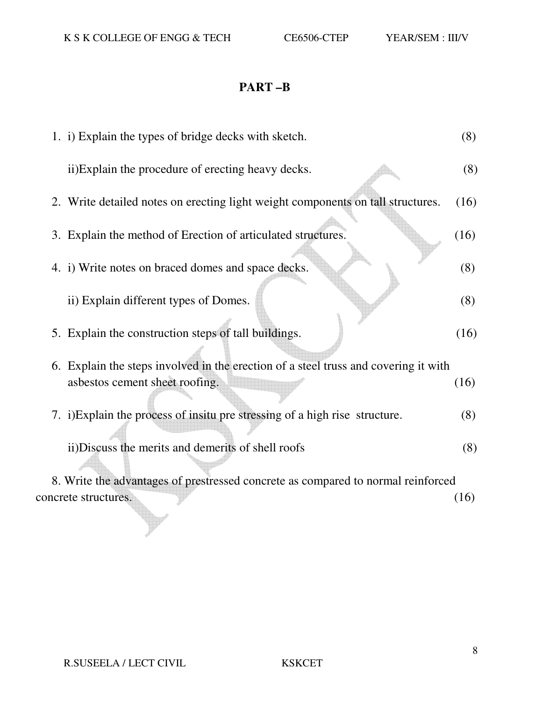# **PART –B**

| 1. i) Explain the types of bridge decks with sketch.                                | (8)  |
|-------------------------------------------------------------------------------------|------|
| ii) Explain the procedure of erecting heavy decks.                                  | (8)  |
| 2. Write detailed notes on erecting light weight components on tall structures.     | (16) |
| 3. Explain the method of Erection of articulated structures.                        | (16) |
| 4. i) Write notes on braced domes and space decks.                                  | (8)  |
| ii) Explain different types of Domes.                                               | (8)  |
| 5. Explain the construction steps of tall buildings.                                | (16) |
| 6. Explain the steps involved in the erection of a steel truss and covering it with |      |
| asbestos cement sheet roofing.                                                      | (16) |
| 7. i) Explain the process of insitu pre stressing of a high rise structure.         | (8)  |
| ii) Discuss the merits and demerits of shell roofs                                  | (8)  |
| 8. Write the advantages of prestressed concrete as compared to normal reinforced    |      |
| concrete structures.                                                                | (16) |

8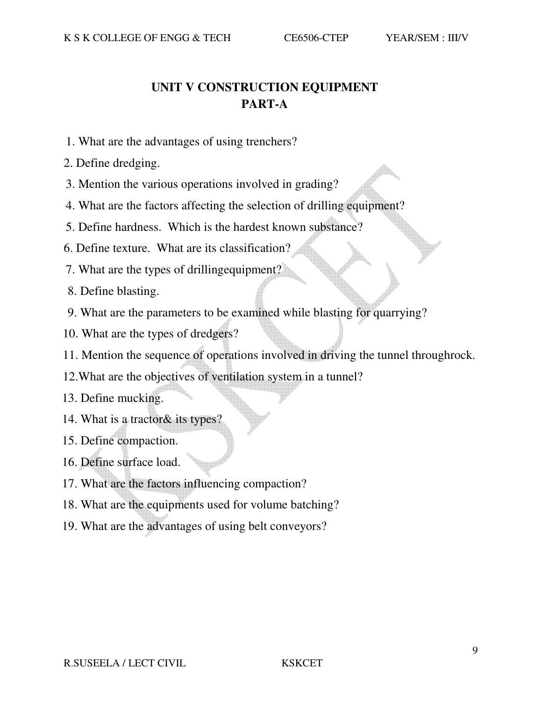# **UNIT V CONSTRUCTION EQUIPMENT PART-A**

- 1. What are the advantages of using trenchers?
- 2. Define dredging.
- 3. Mention the various operations involved in grading?
- 4. What are the factors affecting the selection of drilling equipment?
- 5. Define hardness. Which is the hardest known substance?
- 6. Define texture. What are its classification?
- 7. What are the types of drillingequipment?
- 8. Define blasting.
- 9. What are the parameters to be examined while blasting for quarrying?
- 10. What are the types of dredgers?
- 11. Mention the sequence of operations involved in driving the tunnel throughrock.
- 12.What are the objectives of ventilation system in a tunnel?
- 13. Define mucking.
- 14. What is a tractor& its types?
- 15. Define compaction.
- 16. Define surface load.
- 17. What are the factors influencing compaction?
- 18. What are the equipments used for volume batching?
- 19. What are the advantages of using belt conveyors?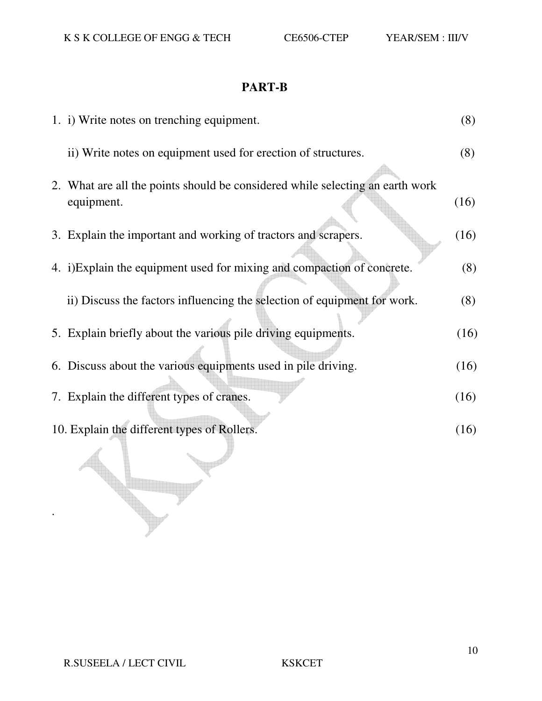| 1. i) Write notes on trenching equipment.                                                   | (8)  |
|---------------------------------------------------------------------------------------------|------|
| ii) Write notes on equipment used for erection of structures.                               | (8)  |
| 2. What are all the points should be considered while selecting an earth work<br>equipment. | (16) |
| 3. Explain the important and working of tractors and scrapers.                              | (16) |
| 4. i)Explain the equipment used for mixing and compaction of concrete.                      | (8)  |
| ii) Discuss the factors influencing the selection of equipment for work.                    | (8)  |
| 5. Explain briefly about the various pile driving equipments.                               | (16) |
| 6. Discuss about the various equipments used in pile driving.                               | (16) |
| 7. Explain the different types of cranes.                                                   | (16) |
| 10. Explain the different types of Rollers.                                                 | (16) |
|                                                                                             |      |